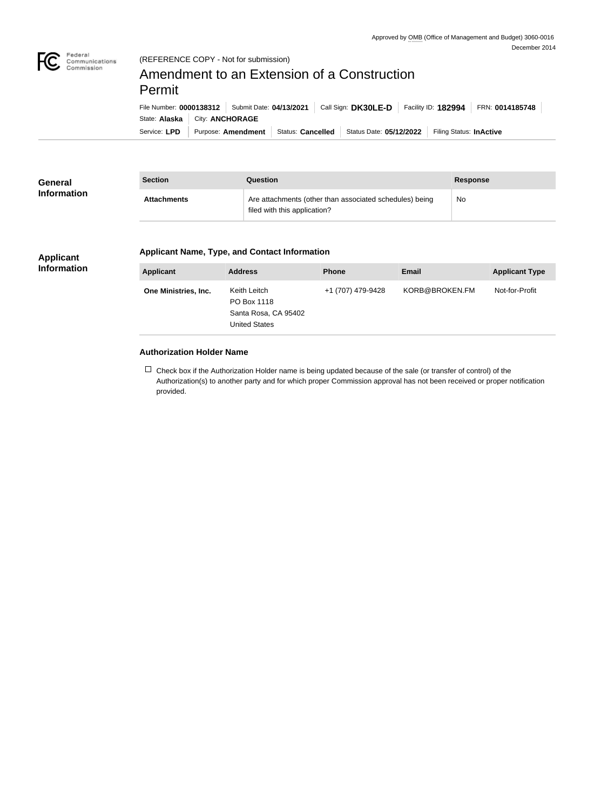

# (REFERENCE COPY - Not for submission)

# Amendment to an Extension of a Construction Permit

|              | File Number: 0000138312   Submit Date: 04/13/2021 |                          | Call Sign: DK30LE-D     | Facility ID: 182994     | FRN: 0014185748 |
|--------------|---------------------------------------------------|--------------------------|-------------------------|-------------------------|-----------------|
|              | State: Alaska   City: ANCHORAGE                   |                          |                         |                         |                 |
| Service: LPD | Purpose: Amendment                                | <b>Status: Cancelled</b> | Status Date: 05/12/2022 | Filing Status: InActive |                 |

| <b>General</b>     | <b>Section</b>     | Question                                                                                | <b>Response</b> |
|--------------------|--------------------|-----------------------------------------------------------------------------------------|-----------------|
| <b>Information</b> | <b>Attachments</b> | Are attachments (other than associated schedules) being<br>filed with this application? | No              |

### **Applicant Information**

#### **Applicant Name, Type, and Contact Information**

| <b>Applicant</b>     | <b>Address</b>                                                              | <b>Phone</b>      | Email          | <b>Applicant Type</b> |
|----------------------|-----------------------------------------------------------------------------|-------------------|----------------|-----------------------|
| One Ministries, Inc. | Keith Leitch<br>PO Box 1118<br>Santa Rosa, CA 95402<br><b>United States</b> | +1 (707) 479-9428 | KORB@BROKEN.FM | Not-for-Profit        |

# **Authorization Holder Name**

 $\Box$  Check box if the Authorization Holder name is being updated because of the sale (or transfer of control) of the Authorization(s) to another party and for which proper Commission approval has not been received or proper notification provided.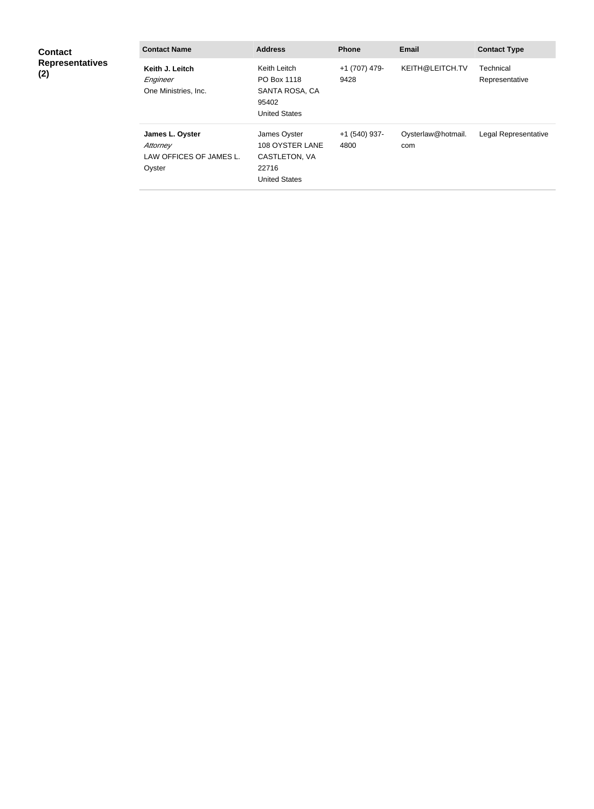| <b>Contact</b>                | <b>Contact Name</b>                                              | <b>Address</b>                                                                    | <b>Phone</b>          | <b>Email</b>              | <b>Contact Type</b>         |
|-------------------------------|------------------------------------------------------------------|-----------------------------------------------------------------------------------|-----------------------|---------------------------|-----------------------------|
| <b>Representatives</b><br>(2) | Keith J. Leitch<br>Engineer<br>One Ministries, Inc.              | Keith Leitch<br>PO Box 1118<br>SANTA ROSA, CA<br>95402<br><b>United States</b>    | +1 (707) 479-<br>9428 | KEITH@LEITCH.TV           | Technical<br>Representative |
|                               | James L. Oyster<br>Attorney<br>LAW OFFICES OF JAMES L.<br>Oyster | James Oyster<br>108 OYSTER LANE<br>CASTLETON, VA<br>22716<br><b>United States</b> | +1 (540) 937-<br>4800 | Oysterlaw@hotmail.<br>com | Legal Representative        |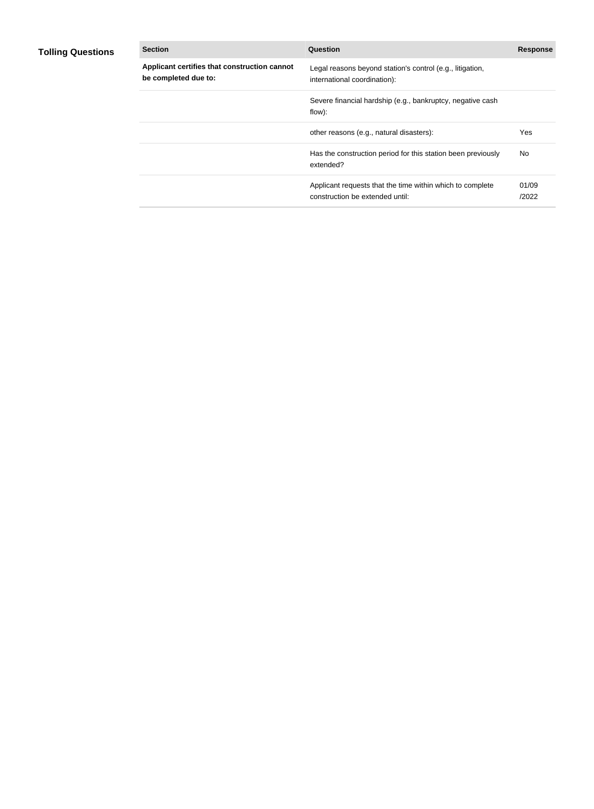# **Tolling Questions**

| <b>Section</b>                                                       | Question                                                                                     | <b>Response</b> |
|----------------------------------------------------------------------|----------------------------------------------------------------------------------------------|-----------------|
| Applicant certifies that construction cannot<br>be completed due to: | Legal reasons beyond station's control (e.g., litigation,<br>international coordination):    |                 |
|                                                                      | Severe financial hardship (e.g., bankruptcy, negative cash<br>flow):                         |                 |
|                                                                      | other reasons (e.g., natural disasters):                                                     | Yes             |
|                                                                      | Has the construction period for this station been previously<br>extended?                    | No.             |
|                                                                      | Applicant requests that the time within which to complete<br>construction be extended until: | 01/09<br>/2022  |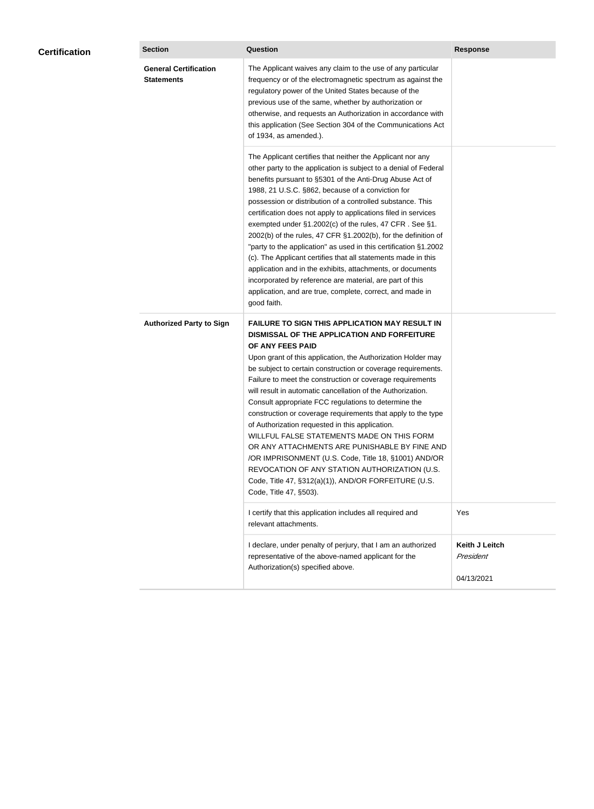| <b>Certification</b> | <b>Section</b>                                    | <b>Question</b>                                                                                                                                                                                                                                                                                                                                                                                                                                                                                                                                                                                                                                                                                                                                                                                                                                           | <b>Response</b>                           |
|----------------------|---------------------------------------------------|-----------------------------------------------------------------------------------------------------------------------------------------------------------------------------------------------------------------------------------------------------------------------------------------------------------------------------------------------------------------------------------------------------------------------------------------------------------------------------------------------------------------------------------------------------------------------------------------------------------------------------------------------------------------------------------------------------------------------------------------------------------------------------------------------------------------------------------------------------------|-------------------------------------------|
|                      | <b>General Certification</b><br><b>Statements</b> | The Applicant waives any claim to the use of any particular<br>frequency or of the electromagnetic spectrum as against the<br>regulatory power of the United States because of the<br>previous use of the same, whether by authorization or<br>otherwise, and requests an Authorization in accordance with<br>this application (See Section 304 of the Communications Act<br>of 1934, as amended.).                                                                                                                                                                                                                                                                                                                                                                                                                                                       |                                           |
|                      |                                                   | The Applicant certifies that neither the Applicant nor any<br>other party to the application is subject to a denial of Federal<br>benefits pursuant to §5301 of the Anti-Drug Abuse Act of<br>1988, 21 U.S.C. §862, because of a conviction for<br>possession or distribution of a controlled substance. This<br>certification does not apply to applications filed in services<br>exempted under §1.2002(c) of the rules, 47 CFR. See §1.<br>2002(b) of the rules, 47 CFR §1.2002(b), for the definition of<br>"party to the application" as used in this certification §1.2002<br>(c). The Applicant certifies that all statements made in this<br>application and in the exhibits, attachments, or documents<br>incorporated by reference are material, are part of this<br>application, and are true, complete, correct, and made in<br>good faith.   |                                           |
|                      | <b>Authorized Party to Sign</b>                   | <b>FAILURE TO SIGN THIS APPLICATION MAY RESULT IN</b><br>DISMISSAL OF THE APPLICATION AND FORFEITURE<br>OF ANY FEES PAID<br>Upon grant of this application, the Authorization Holder may<br>be subject to certain construction or coverage requirements.<br>Failure to meet the construction or coverage requirements<br>will result in automatic cancellation of the Authorization.<br>Consult appropriate FCC regulations to determine the<br>construction or coverage requirements that apply to the type<br>of Authorization requested in this application.<br>WILLFUL FALSE STATEMENTS MADE ON THIS FORM<br>OR ANY ATTACHMENTS ARE PUNISHABLE BY FINE AND<br>/OR IMPRISONMENT (U.S. Code, Title 18, §1001) AND/OR<br>REVOCATION OF ANY STATION AUTHORIZATION (U.S.<br>Code, Title 47, §312(a)(1)), AND/OR FORFEITURE (U.S.<br>Code, Title 47, §503). |                                           |
|                      |                                                   | I certify that this application includes all required and<br>relevant attachments.                                                                                                                                                                                                                                                                                                                                                                                                                                                                                                                                                                                                                                                                                                                                                                        | Yes                                       |
|                      |                                                   | I declare, under penalty of perjury, that I am an authorized<br>representative of the above-named applicant for the<br>Authorization(s) specified above.                                                                                                                                                                                                                                                                                                                                                                                                                                                                                                                                                                                                                                                                                                  | Keith J Leitch<br>President<br>04/13/2021 |